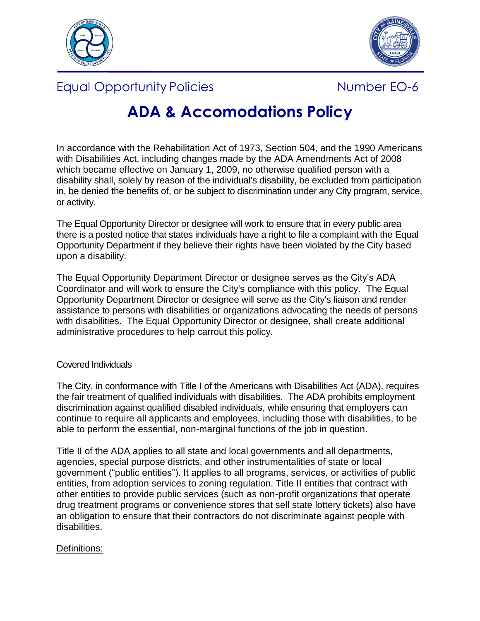



Equal Opportunity Policies **Number EO-6** 



# **ADA & Accomodations Policy**

In accordance with the Rehabilitation Act of 1973, Section 504, and the 1990 Americans with Disabilities Act, including changes made by the ADA Amendments Act of 2008 which became effective on January 1, 2009, no otherwise qualified person with a disability shall, solely by reason of the individual's disability, be excluded from participation in, be denied the benefits of, or be subject to discrimination under any City program, service, or activity.

The Equal Opportunity Director or designee will work to ensure that in every public area there is a posted notice that states individuals have a right to file a complaint with the Equal Opportunity Department if they believe their rights have been violated by the City based upon a disability.

The Equal Opportunity Department Director or designee serves as the City's ADA Coordinator and will work to ensure the City's compliance with this policy. The Equal Opportunity Department Director or designee will serve as the City's liaison and render assistance to persons with disabilities or organizations advocating the needs of persons with disabilities. The Equal Opportunity Director or designee, shall create additional administrative procedures to help carrout this policy.

# Covered Individuals

The City, in conformance with Title I of the Americans with Disabilities Act (ADA), requires the fair treatment of qualified individuals with disabilities. The ADA prohibits employment discrimination against qualified disabled individuals, while ensuring that employers can continue to require all applicants and employees, including those with disabilities, to be able to perform the essential, non-marginal functions of the job in question.

Title II of the ADA applies to all state and local governments and all departments, agencies, special purpose districts, and other instrumentalities of state or local government ("public entities"). It applies to all programs, services, or activities of public entities, from adoption services to zoning regulation. Title II entities that contract with other entities to provide public services (such as non-profit organizations that operate drug treatment programs or convenience stores that sell state lottery tickets) also have an obligation to ensure that their contractors do not discriminate against people with disabilities.

# Definitions: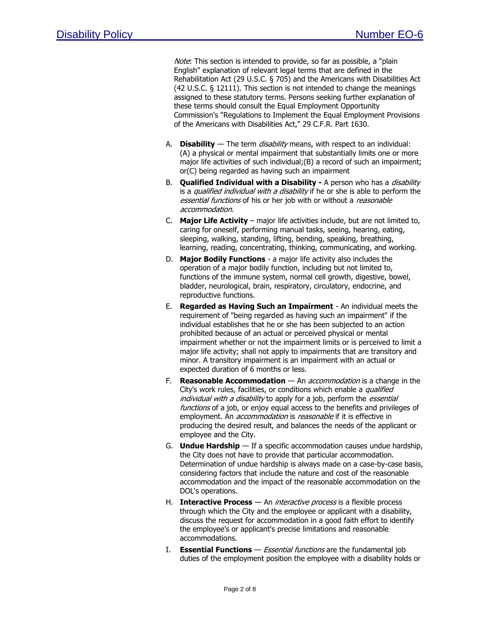Note: This section is intended to provide, so far as possible, a "plain English" explanation of relevant legal terms that are defined in the Rehabilitation Act (29 U.S.C. § 705) and the Americans with Disabilities Act (42 U.S.C. § 12111). This section is not intended to change the meanings assigned to these statutory terms. Persons seeking further explanation of these terms should consult the Equal Employment Opportunity Commission's "Regulations to Implement the Equal Employment Provisions of the Americans with Disabilities Act," 29 C.F.R. Part 1630.

- A. **Disability** The term *disability* means, with respect to an individual: (A) a physical or mental impairment that substantially limits one or more major life activities of such individual; (B) a record of such an impairment; or(C) being regarded as having such an impairment
- B. **Qualified Individual with a Disability -** A person who has a *disability* is a qualified individual with a disability if he or she is able to perform the essential functions of his or her job with or without a reasonable accommodation.
- C. **Major Life Activity** major life activities include, but are not limited to, caring for oneself, performing manual tasks, seeing, hearing, eating, sleeping, walking, standing, lifting, bending, speaking, breathing, learning, reading, concentrating, thinking, communicating, and working.
- D. **Major Bodily Functions** a major life activity also includes the operation of a major bodily function, including but not limited to, functions of the immune system, normal cell growth, digestive, bowel, bladder, neurological, brain, respiratory, circulatory, endocrine, and reproductive functions.
- E. **Regarded as Having Such an Impairment** An individual meets the requirement of "being regarded as having such an impairment" if the individual establishes that he or she has been subjected to an action prohibited because of an actual or perceived physical or mental impairment whether or not the impairment limits or is perceived to limit a major life activity; shall not apply to impairments that are transitory and minor. A transitory impairment is an impairment with an actual or expected duration of 6 months or less.
- F. **Reasonable Accommodation** An accommodation is a change in the City's work rules, facilities, or conditions which enable a *qualified* individual with a disability to apply for a job, perform the essential functions of a job, or enjoy equal access to the benefits and privileges of employment. An *accommodation* is *reasonable* if it is effective in producing the desired result, and balances the needs of the applicant or employee and the City.
- G. **Undue Hardship** If a specific accommodation causes undue hardship, the City does not have to provide that particular accommodation. Determination of undue hardship is always made on a case-by-case basis, considering factors that include the nature and cost of the reasonable accommodation and the impact of the reasonable accommodation on the DOL's operations.
- H. **Interactive Process** An interactive process is a flexible process through which the City and the employee or applicant with a disability, discuss the request for accommodation in a good faith effort to identify the employee's or applicant's precise limitations and reasonable accommodations.
- I. **Essential Functions** Essential functions are the fundamental job duties of the employment position the employee with a disability holds or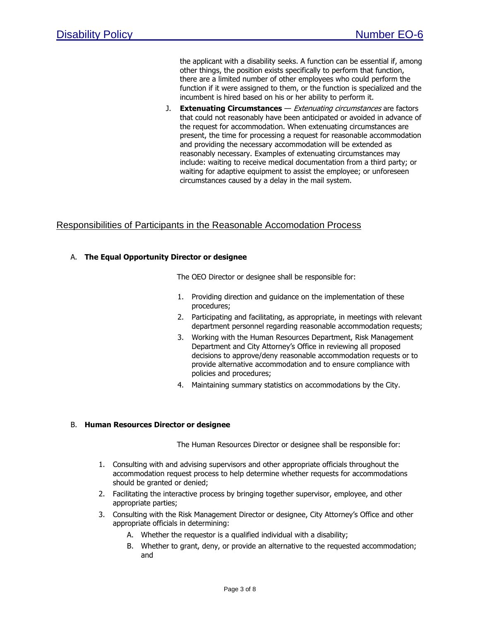the applicant with a disability seeks. A function can be essential if, among other things, the position exists specifically to perform that function, there are a limited number of other employees who could perform the function if it were assigned to them, or the function is specialized and the incumbent is hired based on his or her ability to perform it.

J. **Extenuating Circumstances** — Extenuating circumstances are factors that could not reasonably have been anticipated or avoided in advance of the request for accommodation. When extenuating circumstances are present, the time for processing a request for reasonable accommodation and providing the necessary accommodation will be extended as reasonably necessary. Examples of extenuating circumstances may include: waiting to receive medical documentation from a third party; or waiting for adaptive equipment to assist the employee; or unforeseen circumstances caused by a delay in the mail system.

## Responsibilities of Participants in the Reasonable Accomodation Process

## A. **The Equal Opportunity Director or designee**

The OEO Director or designee shall be responsible for:

- 1. Providing direction and guidance on the implementation of these procedures;
- 2. Participating and facilitating, as appropriate, in meetings with relevant department personnel regarding reasonable accommodation requests;
- 3. Working with the Human Resources Department, Risk Management Department and City Attorney's Office in reviewing all proposed decisions to approve/deny reasonable accommodation requests or to provide alternative accommodation and to ensure compliance with policies and procedures;
- 4. Maintaining summary statistics on accommodations by the City.

### B. **Human Resources Director or designee**

The Human Resources Director or designee shall be responsible for:

- 1. Consulting with and advising supervisors and other appropriate officials throughout the accommodation request process to help determine whether requests for accommodations should be granted or denied;
- 2. Facilitating the interactive process by bringing together supervisor, employee, and other appropriate parties;
- 3. Consulting with the Risk Management Director or designee, City Attorney's Office and other appropriate officials in determining:
	- A. Whether the requestor is a qualified individual with a disability;
	- B. Whether to grant, deny, or provide an alternative to the requested accommodation; and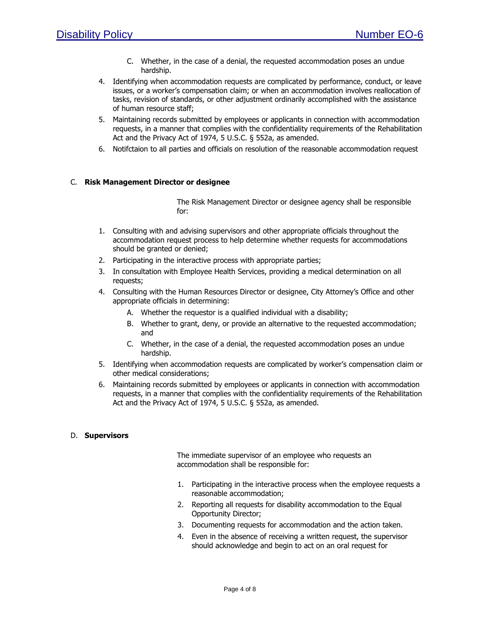- C. Whether, in the case of a denial, the requested accommodation poses an undue hardship.
- 4. Identifying when accommodation requests are complicated by performance, conduct, or leave issues, or a worker's compensation claim; or when an accommodation involves reallocation of tasks, revision of standards, or other adjustment ordinarily accomplished with the assistance of human resource staff;
- 5. Maintaining records submitted by employees or applicants in connection with accommodation requests, in a manner that complies with the confidentiality requirements of the Rehabilitation Act and the Privacy Act of 1974, 5 U.S.C. § 552a, as amended.
- 6. Notifctaion to all parties and officials on resolution of the reasonable accommodation request

## C. **Risk Management Director or designee**

The Risk Management Director or designee agency shall be responsible for:

- 1. Consulting with and advising supervisors and other appropriate officials throughout the accommodation request process to help determine whether requests for accommodations should be granted or denied;
- 2. Participating in the interactive process with appropriate parties;
- 3. In consultation with Employee Health Services, providing a medical determination on all requests;
- 4. Consulting with the Human Resources Director or designee, City Attorney's Office and other appropriate officials in determining:
	- A. Whether the requestor is a qualified individual with a disability;
	- B. Whether to grant, deny, or provide an alternative to the requested accommodation; and
	- C. Whether, in the case of a denial, the requested accommodation poses an undue hardship.
- 5. Identifying when accommodation requests are complicated by worker's compensation claim or other medical considerations;
- 6. Maintaining records submitted by employees or applicants in connection with accommodation requests, in a manner that complies with the confidentiality requirements of the Rehabilitation Act and the Privacy Act of 1974, 5 U.S.C. § 552a, as amended.

### D. **Supervisors**

The immediate supervisor of an employee who requests an accommodation shall be responsible for:

- 1. Participating in the interactive process when the employee requests a reasonable accommodation;
- 2. Reporting all requests for disability accommodation to the Equal Opportunity Director;
- 3. Documenting requests for accommodation and the action taken.
- 4. Even in the absence of receiving a written request, the supervisor should acknowledge and begin to act on an oral request for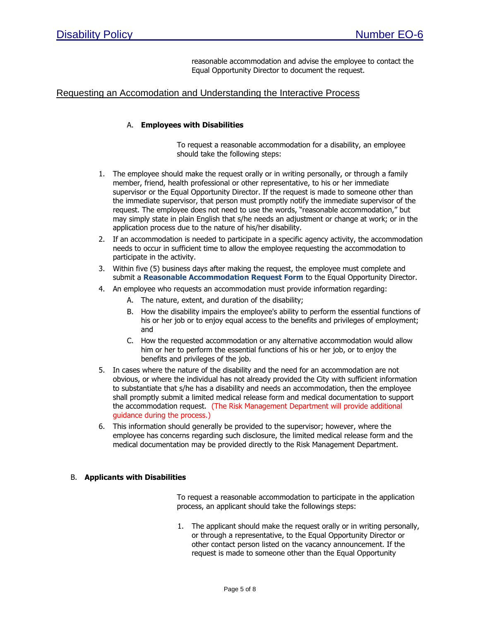reasonable accommodation and advise the employee to contact the Equal Opportunity Director to document the request.

## Requesting an Accomodation and Understanding the Interactive Process

## A. **Employees with Disabilities**

To request a reasonable accommodation for a disability, an employee should take the following steps:

- 1. The employee should make the request orally or in writing personally, or through a family member, friend, health professional or other representative, to his or her immediate supervisor or the Equal Opportunity Director. If the request is made to someone other than the immediate supervisor, that person must promptly notify the immediate supervisor of the request. The employee does not need to use the words, "reasonable accommodation," but may simply state in plain English that s/he needs an adjustment or change at work; or in the application process due to the nature of his/her disability.
- 2. If an accommodation is needed to participate in a specific agency activity, the accommodation needs to occur in sufficient time to allow the employee requesting the accommodation to participate in the activity.
- 3. Within five (5) business days after making the request, the employee must complete and submit a **Reasonable Accommodation Request Form** to the Equal Opportunity Director.
- 4. An employee who requests an accommodation must provide information regarding:
	- A. The nature, extent, and duration of the disability;
	- B. How the disability impairs the employee's ability to perform the essential functions of his or her job or to enjoy equal access to the benefits and privileges of employment; and
	- C. How the requested accommodation or any alternative accommodation would allow him or her to perform the essential functions of his or her job, or to enjoy the benefits and privileges of the job.
- 5. In cases where the nature of the disability and the need for an accommodation are not obvious, or where the individual has not already provided the City with sufficient information to substantiate that s/he has a disability and needs an accommodation, then the employee shall promptly submit a limited medical release form and medical documentation to support the accommodation request. (The Risk Management Department will provide additional guidance during the process.)
- 6. This information should generally be provided to the supervisor; however, where the employee has concerns regarding such disclosure, the limited medical release form and the medical documentation may be provided directly to the Risk Management Department.

## B. **Applicants with Disabilities**

To request a reasonable accommodation to participate in the application process, an applicant should take the followings steps:

1. The applicant should make the request orally or in writing personally, or through a representative, to the Equal Opportunity Director or other contact person listed on the vacancy announcement. If the request is made to someone other than the Equal Opportunity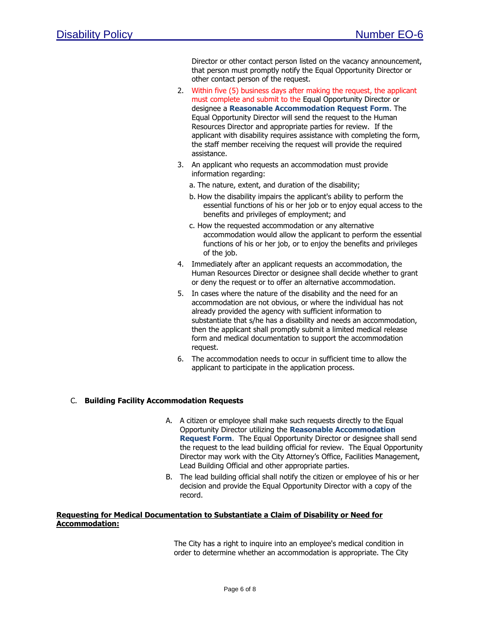Director or other contact person listed on the vacancy announcement, that person must promptly notify the Equal Opportunity Director or other contact person of the request.

- 2. Within five (5) business days after making the request, the applicant must complete and submit to the Equal Opportunity Director or designee a **Reasonable Accommodation Request Form**. The Equal Opportunity Director will send the request to the Human Resources Director and appropriate parties for review. If the applicant with disability requires assistance with completing the form, the staff member receiving the request will provide the required assistance.
- 3. An applicant who requests an accommodation must provide information regarding:
	- a. The nature, extent, and duration of the disability;
	- b. How the disability impairs the applicant's ability to perform the essential functions of his or her job or to enjoy equal access to the benefits and privileges of employment; and
	- c. How the requested accommodation or any alternative accommodation would allow the applicant to perform the essential functions of his or her job, or to enjoy the benefits and privileges of the job.
- 4. Immediately after an applicant requests an accommodation, the Human Resources Director or designee shall decide whether to grant or deny the request or to offer an alternative accommodation.
- 5. In cases where the nature of the disability and the need for an accommodation are not obvious, or where the individual has not already provided the agency with sufficient information to substantiate that s/he has a disability and needs an accommodation, then the applicant shall promptly submit a limited medical release form and medical documentation to support the accommodation request.
- 6. The accommodation needs to occur in sufficient time to allow the applicant to participate in the application process.

### C. **Building Facility Accommodation Requests**

- A. A citizen or employee shall make such requests directly to the Equal Opportunity Director utilizing the **Reasonable Accommodation Request Form**. The Equal Opportunity Director or designee shall send the request to the lead building official for review. The Equal Opportunity Director may work with the City Attorney's Office, Facilities Management, Lead Building Official and other appropriate parties.
- B. The lead building official shall notify the citizen or employee of his or her decision and provide the Equal Opportunity Director with a copy of the record.

### **Requesting for Medical Documentation to Substantiate a Claim of Disability or Need for Accommodation:**

The City has a right to inquire into an employee's medical condition in order to determine whether an accommodation is appropriate. The City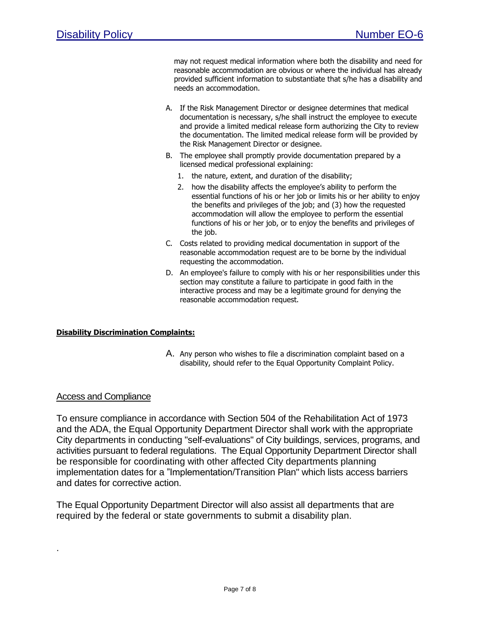may not request medical information where both the disability and need for reasonable accommodation are obvious or where the individual has already provided sufficient information to substantiate that s/he has a disability and needs an accommodation.

- A. If the Risk Management Director or designee determines that medical documentation is necessary, s/he shall instruct the employee to execute and provide a limited medical release form authorizing the City to review the documentation. The limited medical release form will be provided by the Risk Management Director or designee.
- B. The employee shall promptly provide documentation prepared by a licensed medical professional explaining:
	- 1. the nature, extent, and duration of the disability;
	- 2. how the disability affects the employee's ability to perform the essential functions of his or her job or limits his or her ability to enjoy the benefits and privileges of the job; and (3) how the requested accommodation will allow the employee to perform the essential functions of his or her job, or to enjoy the benefits and privileges of the job.
- C. Costs related to providing medical documentation in support of the reasonable accommodation request are to be borne by the individual requesting the accommodation.
- D. An employee's failure to comply with his or her responsibilities under this section may constitute a failure to participate in good faith in the interactive process and may be a legitimate ground for denying the reasonable accommodation request.

## **Disability Discrimination Complaints:**

A. Any person who wishes to file a discrimination complaint based on a disability, should refer to the Equal Opportunity Complaint Policy.

## Access and Compliance

.

To ensure compliance in accordance with Section 504 of the Rehabilitation Act of 1973 and the ADA, the Equal Opportunity Department Director shall work with the appropriate City departments in conducting "self-evaluations" of City buildings, services, programs, and activities pursuant to federal regulations. The Equal Opportunity Department Director shall be responsible for coordinating with other affected City departments planning implementation dates for a "Implementation/Transition Plan" which lists access barriers and dates for corrective action.

The Equal Opportunity Department Director will also assist all departments that are required by the federal or state governments to submit a disability plan.